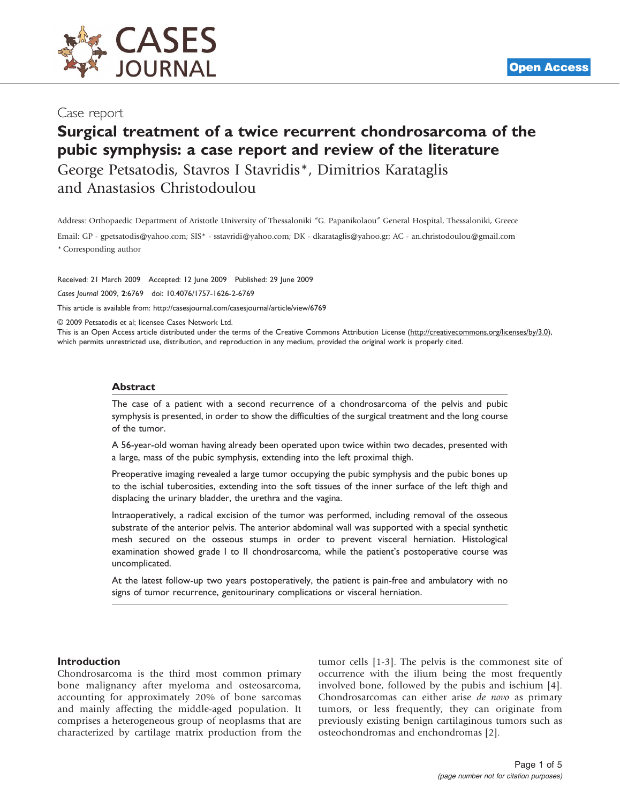

## Case report

# Surgical treatment of a twice recurrent chondrosarcoma of the pubic symphysis: a case report and review of the literature

George Petsatodis, Stavros I Stavridis\*, Dimitrios Karataglis and Anastasios Christodoulou

Address: Orthopaedic Department of Aristotle University of Thessaloniki "G. Papanikolaou" General Hospital, Thessaloniki, Greece Email: GP - gpetsatodis@yahoo.com; SIS\* - sstavridi@yahoo.com; DK - dkarataglis@yahoo.gr; AC - an.christodoulou@gmail.com \* Corresponding author

Received: 21 March 2009 Accepted: 12 June 2009 Published: 29 June 2009 Cases Journal 2009, <sup>2</sup>:6769 doi: 10.4076/1757-1626-2-6769

This article is available from:<http://casesjournal.com/casesjournal/article/view/6769>

© 2009 Petsatodis et al; licensee Cases Network Ltd.

This is an Open Access article distributed under the terms of the Creative Commons Attribution License [\(http://creativecommons.org/licenses/by/3.0\)](http://creativecommons.org/licenses/by/3.0), which permits unrestricted use, distribution, and reproduction in any medium, provided the original work is properly cited.

#### Abstract

The case of a patient with a second recurrence of a chondrosarcoma of the pelvis and pubic symphysis is presented, in order to show the difficulties of the surgical treatment and the long course of the tumor.

A 56-year-old woman having already been operated upon twice within two decades, presented with a large, mass of the pubic symphysis, extending into the left proximal thigh.

Preoperative imaging revealed a large tumor occupying the pubic symphysis and the pubic bones up to the ischial tuberosities, extending into the soft tissues of the inner surface of the left thigh and displacing the urinary bladder, the urethra and the vagina.

Intraoperatively, a radical excision of the tumor was performed, including removal of the osseous substrate of the anterior pelvis. The anterior abdominal wall was supported with a special synthetic mesh secured on the osseous stumps in order to prevent visceral herniation. Histological examination showed grade I to II chondrosarcoma, while the patient's postoperative course was uncomplicated.

At the latest follow-up two years postoperatively, the patient is pain-free and ambulatory with no signs of tumor recurrence, genitourinary complications or visceral herniation.

#### Introduction

Chondrosarcoma is the third most common primary bone malignancy after myeloma and osteosarcoma, accounting for approximately 20% of bone sarcomas and mainly affecting the middle-aged population. It comprises a heterogeneous group of neoplasms that are characterized by cartilage matrix production from the tumor cells [[1](#page-3-0)[-3\]](#page-4-0). The pelvis is the commonest site of occurrence with the ilium being the most frequently involved bone, followed by the pubis and ischium [\[4\]](#page-4-0). Chondrosarcomas can either arise de novo as primary tumors, or less frequently, they can originate from previously existing benign cartilaginous tumors such as osteochondromas and enchondromas [[2](#page-3-0)].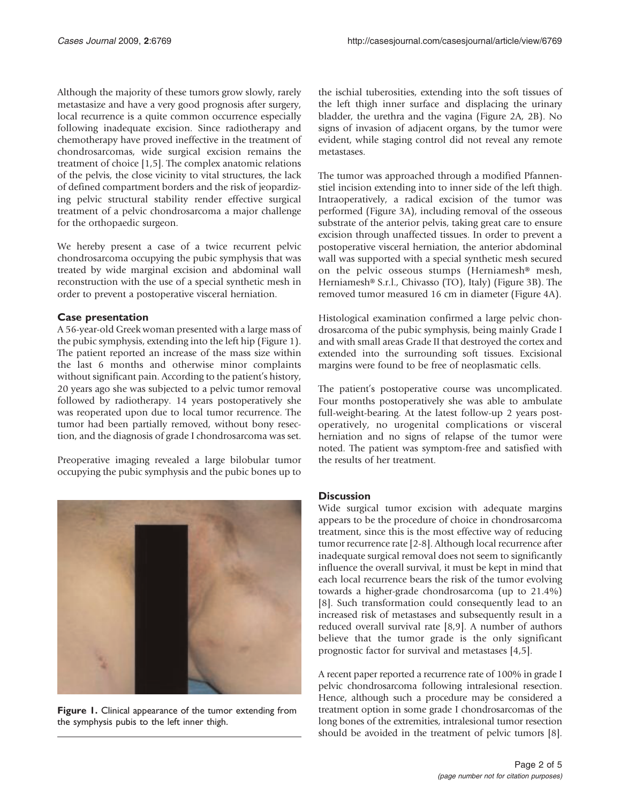Although the majority of these tumors grow slowly, rarely metastasize and have a very good prognosis after surgery, local recurrence is a quite common occurrence especially following inadequate excision. Since radiotherapy and chemotherapy have proved ineffective in the treatment of chondrosarcomas, wide surgical excision remains the treatment of choice [[1](#page-3-0),[5](#page-4-0)]. The complex anatomic relations of the pelvis, the close vicinity to vital structures, the lack of defined compartment borders and the risk of jeopardizing pelvic structural stability render effective surgical treatment of a pelvic chondrosarcoma a major challenge for the orthopaedic surgeon.

We hereby present a case of a twice recurrent pelvic chondrosarcoma occupying the pubic symphysis that was treated by wide marginal excision and abdominal wall reconstruction with the use of a special synthetic mesh in order to prevent a postoperative visceral herniation.

#### Case presentation

A 56-year-old Greek woman presented with a large mass of the pubic symphysis, extending into the left hip (Figure 1). The patient reported an increase of the mass size within the last 6 months and otherwise minor complaints without significant pain. According to the patient's history, 20 years ago she was subjected to a pelvic tumor removal followed by radiotherapy. 14 years postoperatively she was reoperated upon due to local tumor recurrence. The tumor had been partially removed, without bony resection, and the diagnosis of grade I chondrosarcoma was set.

Preoperative imaging revealed a large bilobular tumor occupying the pubic symphysis and the pubic bones up to



Figure 1. Clinical appearance of the tumor extending from the symphysis pubis to the left inner thigh.

the ischial tuberosities, extending into the soft tissues of the left thigh inner surface and displacing the urinary bladder, the urethra and the vagina ([Figure 2A, 2B](#page-2-0)). No signs of invasion of adjacent organs, by the tumor were evident, while staging control did not reveal any remote metastases.

The tumor was approached through a modified Pfannenstiel incision extending into to inner side of the left thigh. Intraoperatively, a radical excision of the tumor was performed ([Figure 3A\)](#page-2-0), including removal of the osseous substrate of the anterior pelvis, taking great care to ensure excision through unaffected tissues. In order to prevent a postoperative visceral herniation, the anterior abdominal wall was supported with a special synthetic mesh secured on the pelvic osseous stumps (Herniamesh® mesh, Herniamesh® S.r.l., Chivasso (TO), Italy) ([Figure 3B](#page-2-0)). The removed tumor measured 16 cm in diameter ([Figure 4A](#page-3-0)).

Histological examination confirmed a large pelvic chondrosarcoma of the pubic symphysis, being mainly Grade I and with small areas Grade II that destroyed the cortex and extended into the surrounding soft tissues. Excisional margins were found to be free of neoplasmatic cells.

The patient's postoperative course was uncomplicated. Four months postoperatively she was able to ambulate full-weight-bearing. At the latest follow-up 2 years postoperatively, no urogenital complications or visceral herniation and no signs of relapse of the tumor were noted. The patient was symptom-free and satisfied with the results of her treatment.

### **Discussion**

Wide surgical tumor excision with adequate margins appears to be the procedure of choice in chondrosarcoma treatment, since this is the most effective way of reducing tumor recurrence rate [\[2](#page-3-0)[-8\]](#page-4-0). Although local recurrence after inadequate surgical removal does not seem to significantly influence the overall survival, it must be kept in mind that each local recurrence bears the risk of the tumor evolving towards a higher-grade chondrosarcoma (up to 21.4%) [[8](#page-4-0)]. Such transformation could consequently lead to an increased risk of metastases and subsequently result in a reduced overall survival rate [\[8](#page-4-0),[9](#page-4-0)]. A number of authors believe that the tumor grade is the only significant prognostic factor for survival and metastases [\[4,5](#page-4-0)].

A recent paper reported a recurrence rate of 100% in grade I pelvic chondrosarcoma following intralesional resection. Hence, although such a procedure may be considered a treatment option in some grade I chondrosarcomas of the long bones of the extremities, intralesional tumor resection should be avoided in the treatment of pelvic tumors [[8](#page-4-0)].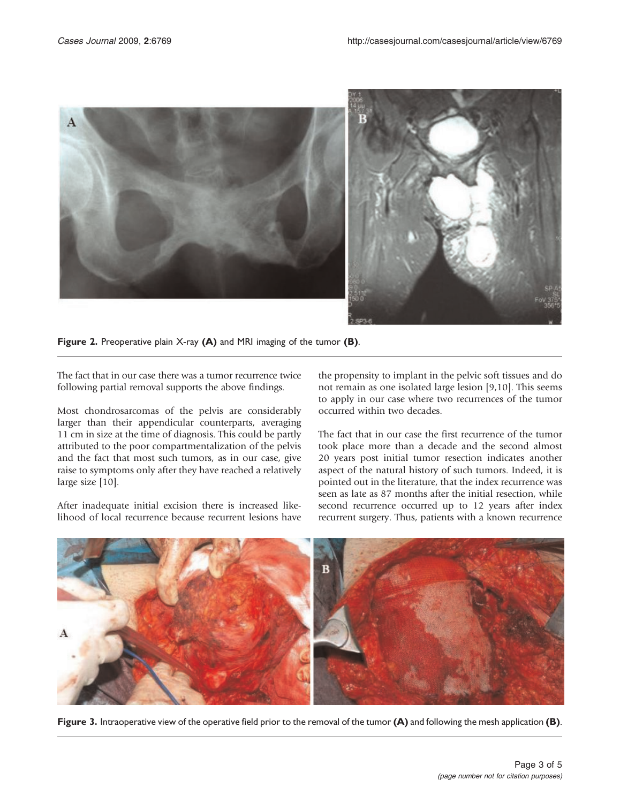<span id="page-2-0"></span>

Figure 2. Preoperative plain X-ray (A) and MRI imaging of the tumor (B).

The fact that in our case there was a tumor recurrence twice following partial removal supports the above findings.

Most chondrosarcomas of the pelvis are considerably larger than their appendicular counterparts, averaging 11 cm in size at the time of diagnosis. This could be partly attributed to the poor compartmentalization of the pelvis and the fact that most such tumors, as in our case, give raise to symptoms only after they have reached a relatively large size [\[10\]](#page-4-0).

After inadequate initial excision there is increased likelihood of local recurrence because recurrent lesions have the propensity to implant in the pelvic soft tissues and do not remain as one isolated large lesion [\[9,10\]](#page-4-0). This seems to apply in our case where two recurrences of the tumor occurred within two decades.

The fact that in our case the first recurrence of the tumor took place more than a decade and the second almost 20 years post initial tumor resection indicates another aspect of the natural history of such tumors. Indeed, it is pointed out in the literature, that the index recurrence was seen as late as 87 months after the initial resection, while second recurrence occurred up to 12 years after index recurrent surgery. Thus, patients with a known recurrence



Figure 3. Intraoperative view of the operative field prior to the removal of the tumor (A) and following the mesh application (B).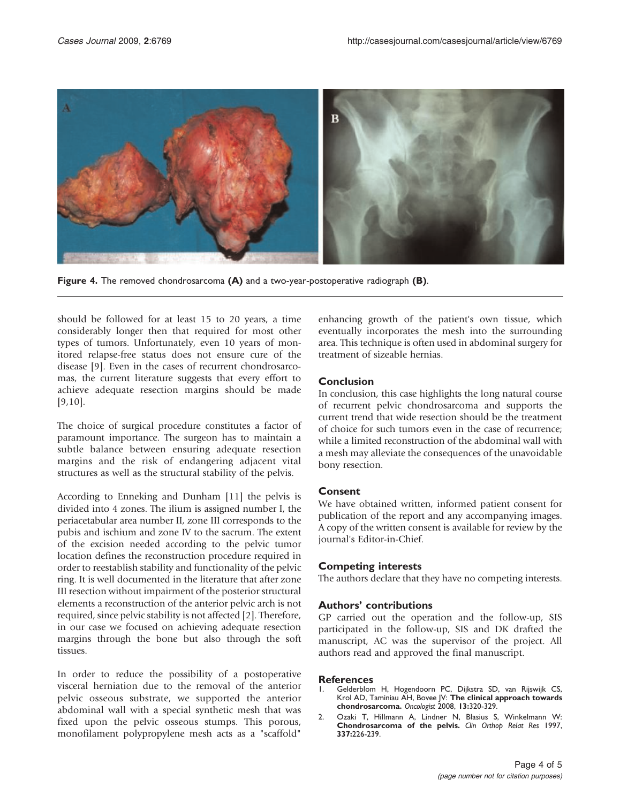<span id="page-3-0"></span>

Figure 4. The removed chondrosarcoma (A) and a two-year-postoperative radiograph (B).

should be followed for at least 15 to 20 years, a time considerably longer then that required for most other types of tumors. Unfortunately, even 10 years of monitored relapse-free status does not ensure cure of the disease [\[9](#page-4-0)]. Even in the cases of recurrent chondrosarcomas, the current literature suggests that every effort to achieve adequate resection margins should be made [\[9](#page-4-0),[10\]](#page-4-0).

The choice of surgical procedure constitutes a factor of paramount importance. The surgeon has to maintain a subtle balance between ensuring adequate resection margins and the risk of endangering adjacent vital structures as well as the structural stability of the pelvis.

According to Enneking and Dunham [\[11\]](#page-4-0) the pelvis is divided into 4 zones. The ilium is assigned number I, the periacetabular area number II, zone III corresponds to the pubis and ischium and zone IV to the sacrum. The extent of the excision needed according to the pelvic tumor location defines the reconstruction procedure required in order to reestablish stability and functionality of the pelvic ring. It is well documented in the literature that after zone III resection without impairment of the posterior structural elements a reconstruction of the anterior pelvic arch is not required, since pelvic stability is not affected [2]. Therefore, in our case we focused on achieving adequate resection margins through the bone but also through the soft tissues.

In order to reduce the possibility of a postoperative visceral herniation due to the removal of the anterior pelvic osseous substrate, we supported the anterior abdominal wall with a special synthetic mesh that was fixed upon the pelvic osseous stumps. This porous, monofilament polypropylene mesh acts as a "scaffold"

enhancing growth of the patient's own tissue, which eventually incorporates the mesh into the surrounding area. This technique is often used in abdominal surgery for treatment of sizeable hernias.

### Conclusion

In conclusion, this case highlights the long natural course of recurrent pelvic chondrosarcoma and supports the current trend that wide resection should be the treatment of choice for such tumors even in the case of recurrence; while a limited reconstruction of the abdominal wall with a mesh may alleviate the consequences of the unavoidable bony resection.

### Consent

We have obtained written, informed patient consent for publication of the report and any accompanying images. A copy of the written consent is available for review by the journal's Editor-in-Chief.

### Competing interests

The authors declare that they have no competing interests.

## Authors' contributions

GP carried out the operation and the follow-up, SIS participated in the follow-up, SIS and DK drafted the manuscript, AC was the supervisor of the project. All authors read and approved the final manuscript.

# **References**

- 1. Gelderblom H, Hogendoorn PC, Dijkstra SD, van Rijswijk CS, Krol AD, Taminiau AH, Bovee JV: The clinical approach towards chondrosarcoma. Oncologist 2008, 13:320-329.
- 2. Ozaki T, Hillmann A, Lindner N, Blasius S, Winkelmann W: Chondrosarcoma of the pelvis. Clin Orthop Relat Res 1997, 337:226-239.